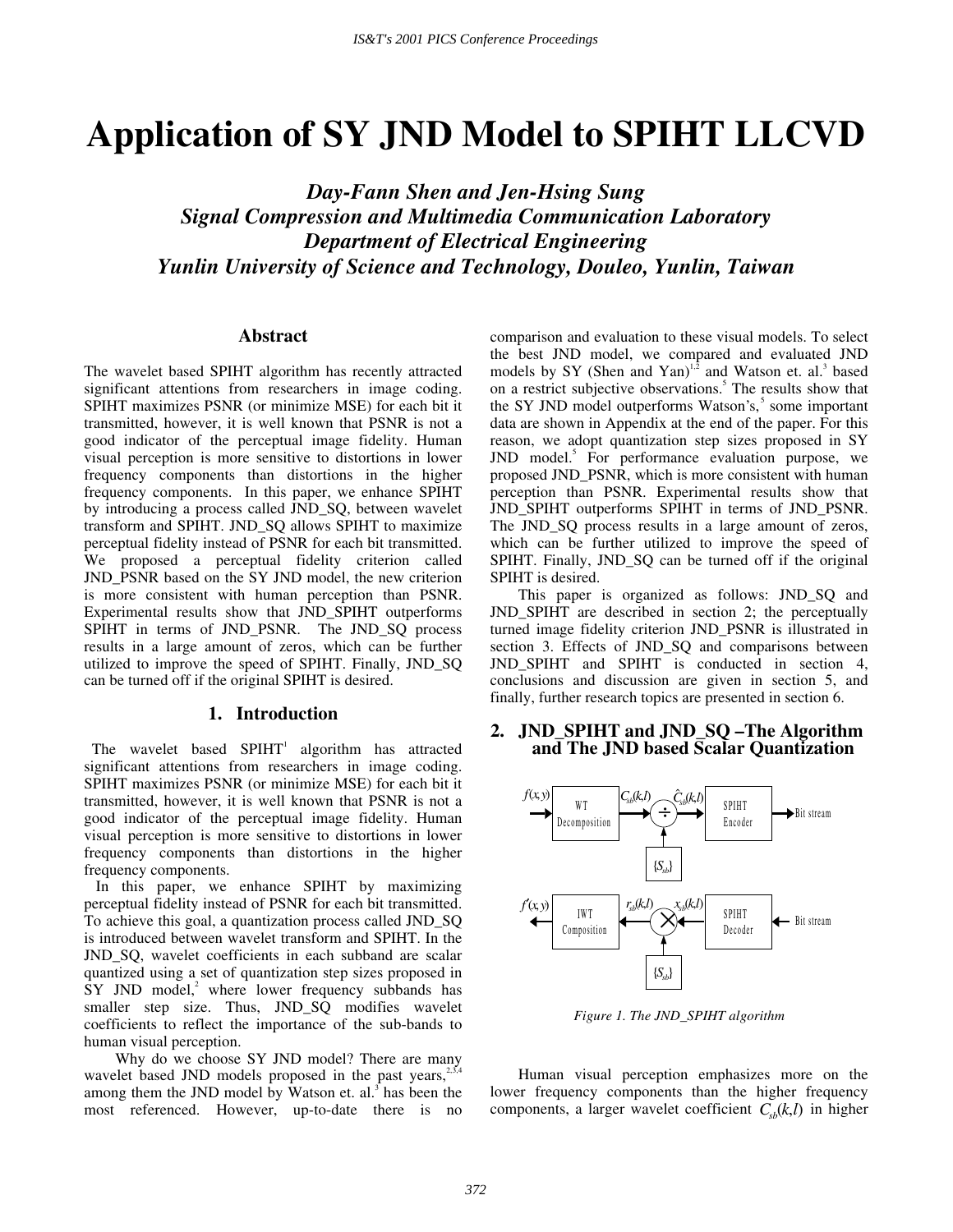# **Application of SY JND Model to SPIHT LLCVD**

*Day-Fann Shen and Jen-Hsing Sung Signal Compression and Multimedia Communication Laboratory Department of Electrical Engineering Yunlin University of Science and Technology, Douleo, Yunlin, Taiwan* 

# **Abstract**

The wavelet based SPIHT algorithm has recently attracted significant attentions from researchers in image coding. SPIHT maximizes PSNR (or minimize MSE) for each bit it transmitted, however, it is well known that PSNR is not a good indicator of the perceptual image fidelity. Human visual perception is more sensitive to distortions in lower frequency components than distortions in the higher frequency components. In this paper, we enhance SPIHT by introducing a process called JND\_SQ, between wavelet transform and SPIHT. JND\_SQ allows SPIHT to maximize perceptual fidelity instead of PSNR for each bit transmitted. We proposed a perceptual fidelity criterion called JND\_PSNR based on the SY JND model, the new criterion is more consistent with human perception than PSNR. Experimental results show that JND\_SPIHT outperforms SPIHT in terms of JND\_PSNR. The JND\_SQ process results in a large amount of zeros, which can be further utilized to improve the speed of SPIHT. Finally, JND\_SQ can be turned off if the original SPIHT is desired.

## **1. Introduction**

The wavelet based  $SPIHT<sup>1</sup>$  algorithm has attracted significant attentions from researchers in image coding. SPIHT maximizes PSNR (or minimize MSE) for each bit it transmitted, however, it is well known that PSNR is not a good indicator of the perceptual image fidelity. Human visual perception is more sensitive to distortions in lower frequency components than distortions in the higher frequency components.

 In this paper, we enhance SPIHT by maximizing perceptual fidelity instead of PSNR for each bit transmitted. To achieve this goal, a quantization process called JND\_SQ is introduced between wavelet transform and SPIHT. In the JND\_SQ, wavelet coefficients in each subband are scalar quantized using a set of quantization step sizes proposed in  $SY$  JND model,<sup>2</sup> where lower frequency subbands has smaller step size. Thus, JND\_SQ modifies wavelet coefficients to reflect the importance of the sub-bands to human visual perception.

Why do we choose SY JND model? There are many wavelet based JND models proposed in the past years, $2\pi$ , among them the JND model by Watson et. al.<sup> $3$ </sup> has been the most referenced. However, up-to-date there is no

comparison and evaluation to these visual models. To select the best JND model, we compared and evaluated JND models by SY (Shen and Yan) $1,2}$  and Watson et. al.<sup>3</sup> based on a restrict subjective observations.<sup>5</sup> The results show that the SY JND model outperforms Watson's,<sup>5</sup> some important data are shown in Appendix at the end of the paper. For this reason, we adopt quantization step sizes proposed in SY JND model.<sup>5</sup> For performance evaluation purpose, we proposed JND\_PSNR, which is more consistent with human perception than PSNR. Experimental results show that JND\_SPIHT outperforms SPIHT in terms of JND\_PSNR. The JND\_SQ process results in a large amount of zeros, which can be further utilized to improve the speed of SPIHT. Finally, JND\_SQ can be turned off if the original SPIHT is desired.

This paper is organized as follows: JND\_SQ and JND\_SPIHT are described in section 2; the perceptually turned image fidelity criterion JND\_PSNR is illustrated in section 3. Effects of JND\_SQ and comparisons between JND\_SPIHT and SPIHT is conducted in section 4, conclusions and discussion are given in section 5, and finally, further research topics are presented in section 6.

# **2. JND\_SPIHT and JND\_SQ – The Algorithm and The JND based Scalar Quantization**



*Figure 1. The JND\_SPIHT algorithm* 

Human visual perception emphasizes more on the lower frequency components than the higher frequency components, a larger wavelet coefficient  $C_{nk}(k,l)$  in higher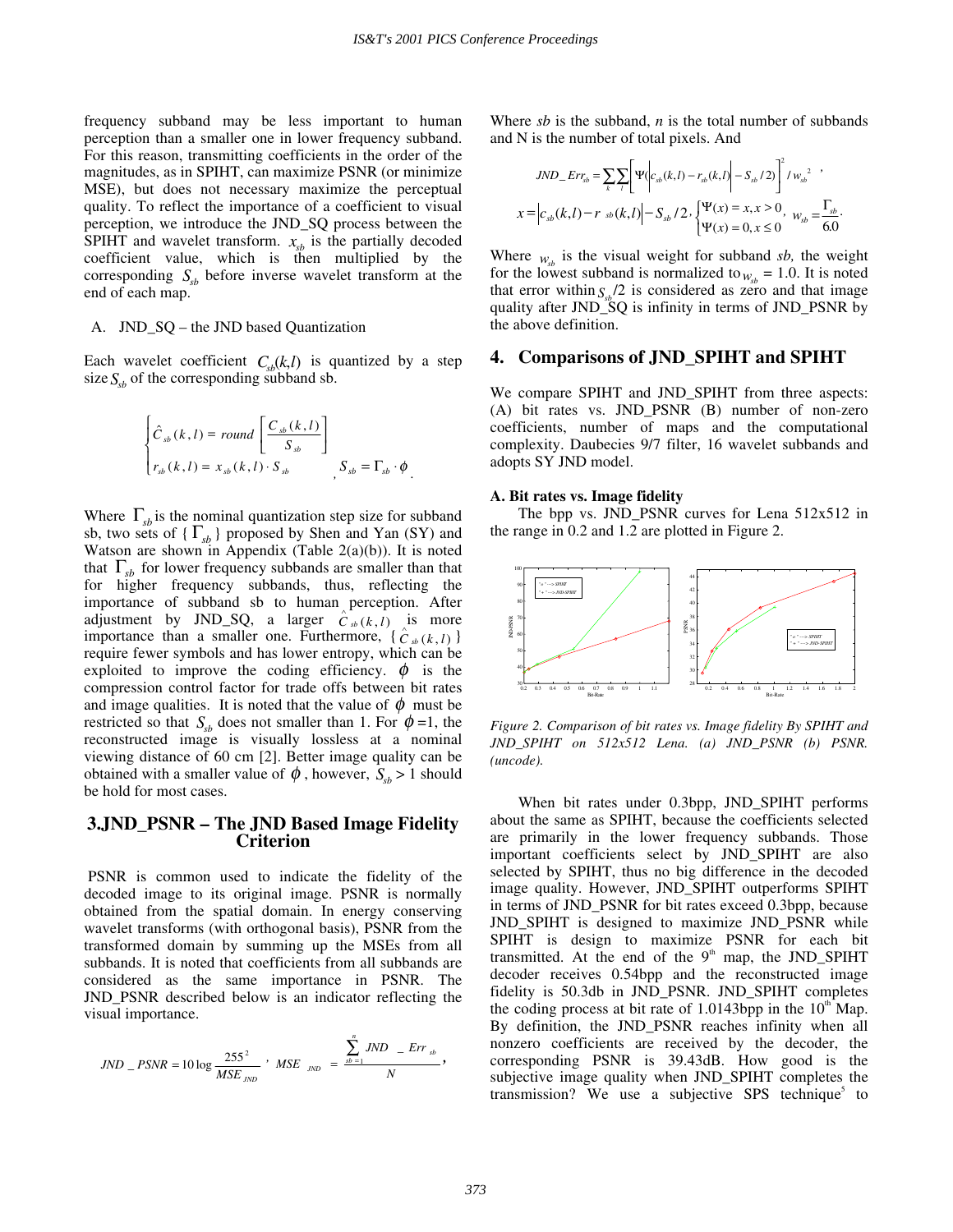frequency subband may be less important to human perception than a smaller one in lower frequency subband. For this reason, transmitting coefficients in the order of the magnitudes, as in SPIHT, can maximize PSNR (or minimize MSE), but does not necessary maximize the perceptual quality. To reflect the importance of a coefficient to visual perception, we introduce the JND\_SQ process between the SPIHT and wavelet transform.  $x_{sb}$  is the partially decoded coefficient value, which is then multiplied by the corresponding  $S_{sb}$  before inverse wavelet transform at the end of each map.

### A. JND\_SQ – the JND based Quantization

Each wavelet coefficient  $C_{sb}(k,l)$  is quantized by a step size  $S_{sb}$  of the corresponding subband sb.

$$
\begin{cases}\n\hat{C}_{sb}(k,l) = round \left[ \frac{C_{sb}(k,l)}{S_{sb}} \right] \\
r_{sb}(k,l) = x_{sb}(k,l) \cdot S_{sb} \qquad , S_{sb} = \Gamma_{sb} \cdot \phi\n\end{cases}
$$

Where  $\Gamma_{sb}$  is the nominal quantization step size for subband sb, two sets of  $\{\Gamma_{sb}\}$  proposed by Shen and Yan (SY) and Watson are shown in Appendix (Table 2(a)(b)). It is noted that  $\Gamma_{sb}$  for lower frequency subbands are smaller than that for higher frequency subbands, thus, reflecting the importance of subband sb to human perception. After adjustment by JND\_SQ, a larger  $\hat{C}_{sb}(k, l)$  is more importance than a smaller one. Furthermore,  $\{\hat{C}_{sb}(k,l)\}$ require fewer symbols and has lower entropy, which can be exploited to improve the coding efficiency.  $\phi$  is the compression control factor for trade offs between bit rates and image qualities. It is noted that the value of  $\phi$  must be restricted so that  $S_{sb}$  does not smaller than 1. For  $\phi = 1$ , the reconstructed image is visually lossless at a nominal viewing distance of 60 cm [2]. Better image quality can be obtained with a smaller value of  $\phi$ , however,  $S_{sb} > 1$  should be hold for most cases.

## **3.JND\_PSNR – The JND Based Image Fidelity Criterion**

 PSNR is common used to indicate the fidelity of the decoded image to its original image. PSNR is normally obtained from the spatial domain. In energy conserving wavelet transforms (with orthogonal basis), PSNR from the transformed domain by summing up the MSEs from all subbands. It is noted that coefficients from all subbands are considered as the same importance in PSNR. The JND\_PSNR described below is an indicator reflecting the visual importance.

$$
JND \, \_ \, PSNR = 10 \log \frac{255^2}{MSE \,_{JND}} \, \cdot \, MSE \,_{JND} \, = \, \frac{\sum_{sb=1}^{n} JND \, \_ \, Err_{sb}}{N} \, ,
$$

Where *sb* is the subband, *n* is the total number of subbands and N is the number of total pixels. And

$$
JND_{-}Err_{sb} = \sum_{k} \sum_{l} \left[ \Psi \left( c_{sb}(k,l) - r_{sb}(k,l) \right) - S_{sb} / 2 \right)^{2} / w_{sb}^{2},
$$
  

$$
x = \left| c_{sb}(k,l) - r_{sb}(k,l) \right| - S_{sb} / 2, \begin{cases} \Psi(x) = x, x > 0, & w_{sb} = \frac{\Gamma_{sb}}{6.0}. \end{cases}
$$

Where  $w_{ab}$  is the visual weight for subband *sb*, the weight for the lowest subband is normalized to  $w_{v} = 1.0$ . It is noted that error within  $S<sub>ab</sub>/2$  is considered as zero and that image quality after JND\_SQ is infinity in terms of JND\_PSNR by the above definition.

# **4. Comparisons of JND\_SPIHT and SPIHT**

We compare SPIHT and JND\_SPIHT from three aspects: (A) bit rates vs. JND\_PSNR (B) number of non-zero coefficients, number of maps and the computational complexity. Daubecies 9/7 filter, 16 wavelet subbands and adopts SY JND model.

#### **A. Bit rates vs. Image fidelity**

The bpp vs. JND\_PSNR curves for Lena 512x512 in the range in 0.2 and 1.2 are plotted in Figure 2.



*Figure 2. Comparison of bit rates vs. Image fidelity By SPIHT and JND\_SPIHT on 512x512 Lena. (a) JND\_PSNR (b) PSNR. (uncode).* 

When bit rates under 0.3bpp, JND\_SPIHT performs about the same as SPIHT, because the coefficients selected are primarily in the lower frequency subbands. Those important coefficients select by JND\_SPIHT are also selected by SPIHT, thus no big difference in the decoded image quality. However, JND\_SPIHT outperforms SPIHT in terms of JND\_PSNR for bit rates exceed 0.3bpp, because JND\_SPIHT is designed to maximize JND\_PSNR while SPIHT is design to maximize PSNR for each bit transmitted. At the end of the  $9<sup>th</sup>$  map, the JND\_SPIHT decoder receives 0.54bpp and the reconstructed image fidelity is 50.3db in JND\_PSNR. JND\_SPIHT completes the coding process at bit rate of  $1.0143$ bpp in the  $10<sup>th</sup>$  Map. By definition, the JND\_PSNR reaches infinity when all nonzero coefficients are received by the decoder, the corresponding PSNR is 39.43dB. How good is the subjective image quality when JND\_SPIHT completes the transmission? We use a subjective SPS technique<sup>5</sup> to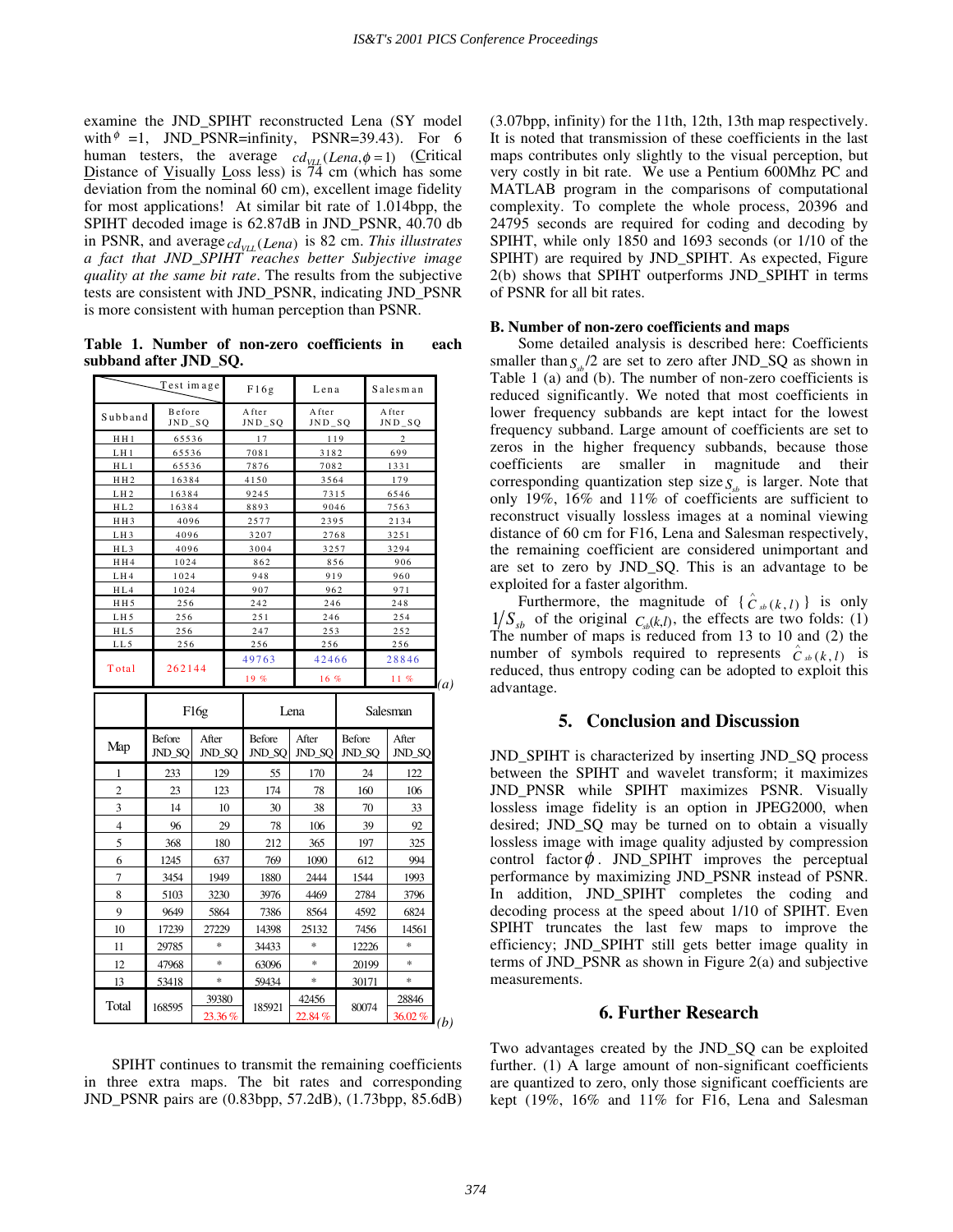examine the JND\_SPIHT reconstructed Lena (SY model with  $\ell = 1$ , JND\_PSNR=infinity, PSNR=39.43). For 6 human testers, the average  $cd_{\text{VLL}}(Lena, \phi = 1)$  (Critical Distance of Visually Loss less) is  $\overline{74}$  cm (which has some deviation from the nominal 60 cm), excellent image fidelity for most applications! At similar bit rate of 1.014bpp, the SPIHT decoded image is 62.87dB in JND\_PSNR, 40.70 db in PSNR, and average  $_{\text{VLL}}$  (*Lena*) is 82 cm. *This illustrates a fact that JND\_SPIHT reaches better Subjective image quality at the same bit rate*. The results from the subjective tests are consistent with JND\_PSNR, indicating JND\_PSNR is more consistent with human perception than PSNR.

**Table 1. Number of non-zero coefficients in each subband after JND\_SQ.** 

| Test image      |                         |                 | F16g                    | Lena              |                  | Salesman          |                 |
|-----------------|-------------------------|-----------------|-------------------------|-------------------|------------------|-------------------|-----------------|
| Subband         | Before<br>$JND_SQ$      |                 | After<br>$JND_SQ$       | After<br>$JND_SQ$ |                  | After<br>$JND_SQ$ |                 |
| HH1             | 65536                   |                 | 17                      | 119               |                  | $\overline{c}$    |                 |
| LH <sub>1</sub> | 65536                   |                 | 7081                    | 3182              |                  | 699               |                 |
| HL1             | 65536                   |                 | 7876                    | 7082              |                  | 1331              |                 |
| H H 2           | 16384                   |                 | 4150<br>3564            |                   | 179              |                   |                 |
| LH2             | 16384                   |                 | 9245<br>7315            |                   |                  | 6546              |                 |
| HL2             | 16384                   |                 | 8893                    | 9046              |                  | 7563              |                 |
| HH <sub>3</sub> | 4096                    |                 | 2577<br>2395            |                   |                  | 2134              |                 |
| LH <sub>3</sub> | 4096                    |                 | 3207                    | 2768              |                  | 3251              |                 |
| HL3             | 4096                    |                 | 3004                    | 3257              |                  | 3294              |                 |
| H H 4           | 1024                    |                 | 862                     | 856               |                  | 906               |                 |
| LH4             | 1024                    |                 | 948                     | 919               |                  |                   | 960             |
| HL4             | 1024                    |                 | 907                     | 962               |                  | 971               |                 |
| HH5             | 256                     |                 | 242                     | 246               |                  | 248               |                 |
| LH <sub>5</sub> | 256                     |                 | 251                     | 246               |                  | 254               |                 |
| HL5             | 256                     |                 | 247                     | 253               |                  | 252               |                 |
| LL5             | 256                     |                 | 256                     | 256               |                  | 256               |                 |
| Total           | 262144                  |                 | 49763                   | 42466             |                  | 28846             |                 |
|                 |                         |                 | 19%                     | 16%               |                  | 11%               |                 |
|                 | F16g                    |                 | Lena                    |                   | Salesman         |                   |                 |
| Map             | <b>Before</b><br>JND SO | After<br>JND SO | <b>Before</b><br>JND SO | After<br>JND SO   | Before<br>JND SO |                   | After<br>JND SO |

| Map            | Before<br>JND_SQ | After<br>JND_SQ | Before<br>JND_SQ | After<br>JND_SQ | Before<br>JND_SQ | After<br>JND_SQ |
|----------------|------------------|-----------------|------------------|-----------------|------------------|-----------------|
| 1              | 233              | 129             | 55               | 170             | 24               | 122             |
| $\overline{c}$ | 23               | 123             | 174              | 78              | 160              | 106             |
| 3              | 14               | 10              | 30               | 38              | 70               | 33              |
| $\overline{4}$ | 96               | 29              | 78               | 106             | 39               | 92              |
| 5              | 368              | 180             | 212              | 365             | 197              | 325             |
| 6              | 1245             | 637             | 769              | 1090            | 612              | 994             |
| 7              | 3454             | 1949            | 1880             | 2444            | 1544             | 1993            |
| 8              | 5103             | 3230            | 3976             | 4469            | 2784             | 3796            |
| 9              | 9649             | 5864            | 7386             | 8564            | 4592             | 6824            |
| 10             | 17239            | 27229           | 14398            | 25132           | 7456             | 14561           |
| 11             | 29785            | *               | 34433            | *               | 12226            | *               |
| 12             | 47968            | *               | 63096            | *               | 20199            | $*$             |
| 13             | 53418            | *               | 59434            | *               | 30171            | *               |
| Total          | 168595           | 39380           | 185921           | 42456           | 80074            | 28846           |
|                |                  | 23.36%          |                  | 22.84%          |                  | 36.02%<br>(b)   |

SPIHT continues to transmit the remaining coefficients in three extra maps. The bit rates and corresponding JND\_PSNR pairs are (0.83bpp, 57.2dB), (1.73bpp, 85.6dB) (3.07bpp, infinity) for the 11th, 12th, 13th map respectively. It is noted that transmission of these coefficients in the last maps contributes only slightly to the visual perception, but very costly in bit rate. We use a Pentium 600Mhz PC and MATLAB program in the comparisons of computational complexity. To complete the whole process, 20396 and 24795 seconds are required for coding and decoding by SPIHT, while only 1850 and 1693 seconds (or 1/10 of the SPIHT) are required by JND\_SPIHT. As expected, Figure 2(b) shows that SPIHT outperforms JND\_SPIHT in terms of PSNR for all bit rates.

# **B. Number of non-zero coefficients and maps**

Some detailed analysis is described here: Coefficients smaller than  $S_{1/2}$  are set to zero after JND\_SQ as shown in Table 1 (a) and (b). The number of non-zero coefficients is reduced significantly. We noted that most coefficients in lower frequency subbands are kept intact for the lowest frequency subband. Large amount of coefficients are set to zeros in the higher frequency subbands, because those coefficients are smaller in magnitude and their corresponding quantization step size  $S_{ab}$  is larger. Note that only 19%, 16% and 11% of coefficients are sufficient to reconstruct visually lossless images at a nominal viewing distance of 60 cm for F16, Lena and Salesman respectively, the remaining coefficient are considered unimportant and are set to zero by JND\_SQ. This is an advantage to be exploited for a faster algorithm.

Furthermore, the magnitude of  $\{\hat{C}_{sb}(k, l)\}$  is only  $1/S_{sb}$  of the original  $C_{sb}(k,l)$ , the effects are two folds: (1) The number of maps is reduced from 13 to 10 and (2) the number of symbols required to represents  $\hat{c}_{sb}(k,l)$  is reduced, thus entropy coding can be adopted to exploit this advantage.

# **5. Conclusion and Discussion**

JND\_SPIHT is characterized by inserting JND\_SQ process between the SPIHT and wavelet transform; it maximizes JND\_PNSR while SPIHT maximizes PSNR. Visually lossless image fidelity is an option in JPEG2000, when desired; JND\_SQ may be turned on to obtain a visually lossless image with image quality adjusted by compression control factor  $\phi$ . JND\_SPIHT improves the perceptual performance by maximizing JND\_PSNR instead of PSNR. In addition, JND\_SPIHT completes the coding and decoding process at the speed about 1/10 of SPIHT. Even SPIHT truncates the last few maps to improve the efficiency; JND\_SPIHT still gets better image quality in terms of JND\_PSNR as shown in Figure 2(a) and subjective measurements.

# **6. Further Research**

Two advantages created by the JND\_SQ can be exploited further. (1) A large amount of non-significant coefficients are quantized to zero, only those significant coefficients are kept (19%, 16% and 11% for F16, Lena and Salesman